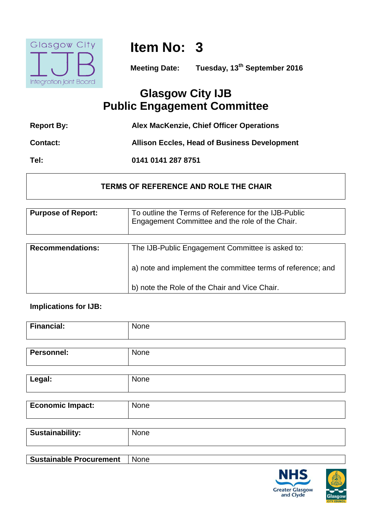

**Item No: 3**

**Meeting Date: Tuesday, 13th September 2016**

# **Glasgow City IJB Public Engagement Committee**

| <b>Report By:</b> | Alex MacKenzie, Chief Officer Operations            |
|-------------------|-----------------------------------------------------|
| <b>Contact:</b>   | <b>Allison Eccles, Head of Business Development</b> |

**Tel: 0141 0141 287 8751**

# **TERMS OF REFERENCE AND ROLE THE CHAIR**

| <b>Purpose of Report:</b> | To outline the Terms of Reference for the IJB-Public<br>Engagement Committee and the role of the Chair. |
|---------------------------|---------------------------------------------------------------------------------------------------------|
| <b>Recommendations:</b>   | The IJB-Public Engagement Committee is asked to:                                                        |
|                           | a) note and implement the committee terms of reference; and                                             |
|                           | b) note the Role of the Chair and Vice Chair.                                                           |

# **Implications for IJB:**

| <b>Financial:</b>              | None |
|--------------------------------|------|
|                                |      |
| <b>Personnel:</b>              | None |
|                                |      |
| Legal:                         | None |
|                                |      |
| <b>Economic Impact:</b>        | None |
|                                |      |
| <b>Sustainability:</b>         | None |
|                                |      |
| <b>Sustainable Procurement</b> | None |



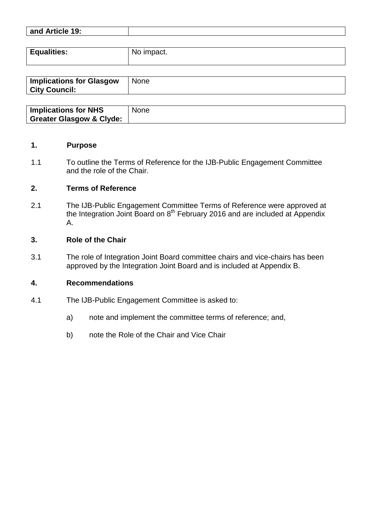| and Article 19: |  |
|-----------------|--|
|                 |  |

| <b>Equalities:</b> | No impact. |
|--------------------|------------|
|                    |            |

| <b>Implications for Glasgow</b><br><b>City Council:</b> | <b>None</b> |
|---------------------------------------------------------|-------------|
|                                                         |             |

| <b>Implications for NHS</b>         | <b>None</b> |
|-------------------------------------|-------------|
| <b>Greater Glasgow &amp; Clyde:</b> |             |

#### **1. Purpose**

1.1 To outline the Terms of Reference for the IJB-Public Engagement Committee and the role of the Chair.

#### **2. Terms of Reference**

2.1 The IJB-Public Engagement Committee Terms of Reference were approved at the Integration Joint Board on  $8<sup>th</sup>$  February 2016 and are included at Appendix A.

#### **3. Role of the Chair**

3.1 The role of Integration Joint Board committee chairs and vice-chairs has been approved by the Integration Joint Board and is included at Appendix B.

#### **4. Recommendations**

- 4.1 The IJB-Public Engagement Committee is asked to:
	- a) note and implement the committee terms of reference; and,
	- b) note the Role of the Chair and Vice Chair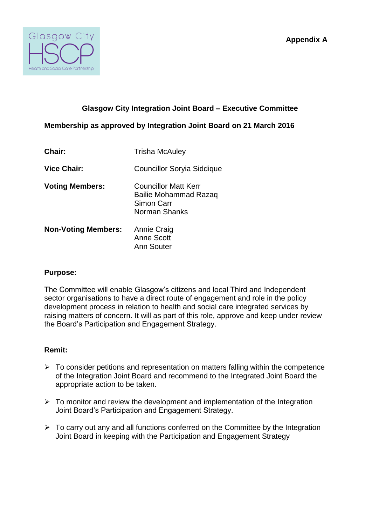

## **Glasgow City Integration Joint Board – Executive Committee**

**Membership as approved by Integration Joint Board on 21 March 2016**

| <b>Chair:</b>              | Trisha McAuley                                                                      |
|----------------------------|-------------------------------------------------------------------------------------|
| <b>Vice Chair:</b>         | <b>Councillor Soryia Siddique</b>                                                   |
| <b>Voting Members:</b>     | Councillor Matt Kerr<br><b>Bailie Mohammad Razaq</b><br>Simon Carr<br>Norman Shanks |
| <b>Non-Voting Members:</b> | <b>Annie Craig</b><br><b>Anne Scott</b><br>Ann Souter                               |

#### **Purpose:**

The Committee will enable Glasgow's citizens and local Third and Independent sector organisations to have a direct route of engagement and role in the policy development process in relation to health and social care integrated services by raising matters of concern. It will as part of this role, approve and keep under review the Board's Participation and Engagement Strategy.

### **Remit:**

- $\triangleright$  To consider petitions and representation on matters falling within the competence of the Integration Joint Board and recommend to the Integrated Joint Board the appropriate action to be taken.
- $\triangleright$  To monitor and review the development and implementation of the Integration Joint Board's Participation and Engagement Strategy.
- $\triangleright$  To carry out any and all functions conferred on the Committee by the Integration Joint Board in keeping with the Participation and Engagement Strategy